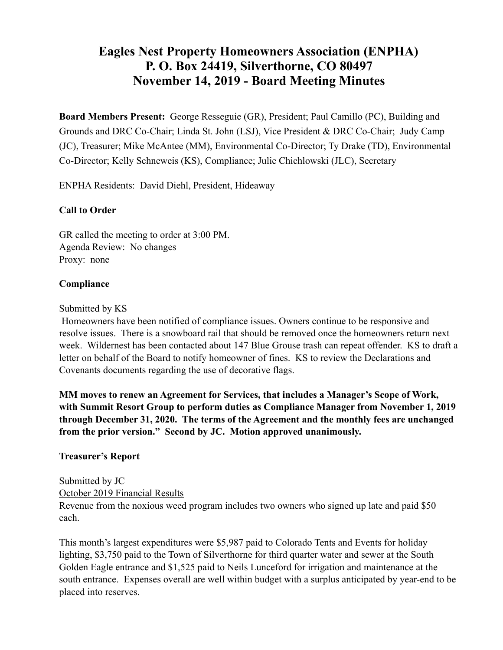# **Eagles Nest Property Homeowners Association (ENPHA) P. O. Box 24419, Silverthorne, CO 80497 November 14, 2019 - Board Meeting Minutes**

**Board Members Present:** George Resseguie (GR), President; Paul Camillo (PC), Building and Grounds and DRC Co-Chair; Linda St. John (LSJ), Vice President & DRC Co-Chair; Judy Camp (JC), Treasurer; Mike McAntee (MM), Environmental Co-Director; Ty Drake (TD), Environmental Co-Director; Kelly Schneweis (KS), Compliance; Julie Chichlowski (JLC), Secretary

ENPHA Residents: David Diehl, President, Hideaway

#### **Call to Order**

GR called the meeting to order at 3:00 PM. Agenda Review: No changes Proxy: none

#### **Compliance**

#### Submitted by KS

 Homeowners have been notified of compliance issues. Owners continue to be responsive and resolve issues. There is a snowboard rail that should be removed once the homeowners return next week. Wildernest has been contacted about 147 Blue Grouse trash can repeat offender. KS to draft a letter on behalf of the Board to notify homeowner of fines. KS to review the Declarations and Covenants documents regarding the use of decorative flags.

**MM moves to renew an Agreement for Services, that includes a Manager's Scope of Work, with Summit Resort Group to perform duties as Compliance Manager from November 1, 2019 through December 31, 2020. The terms of the Agreement and the monthly fees are unchanged from the prior version." Second by JC. Motion approved unanimously.** 

#### **Treasurer's Report**

Submitted by JC October 2019 Financial Results Revenue from the noxious weed program includes two owners who signed up late and paid \$50 each.

This month's largest expenditures were \$5,987 paid to Colorado Tents and Events for holiday lighting, \$3,750 paid to the Town of Silverthorne for third quarter water and sewer at the South Golden Eagle entrance and \$1,525 paid to Neils Lunceford for irrigation and maintenance at the south entrance. Expenses overall are well within budget with a surplus anticipated by year-end to be placed into reserves.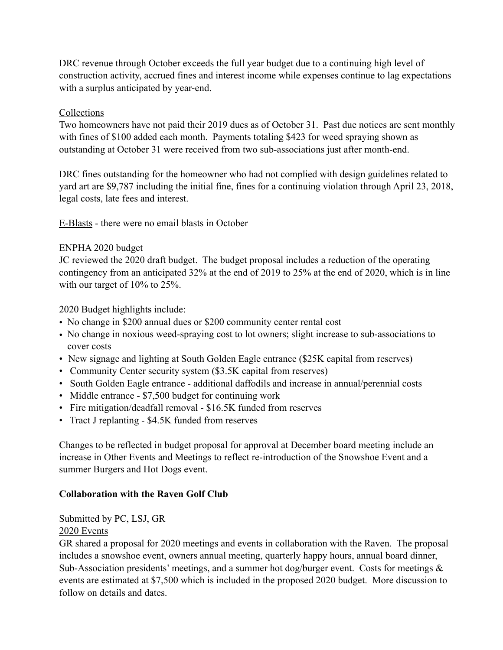DRC revenue through October exceeds the full year budget due to a continuing high level of construction activity, accrued fines and interest income while expenses continue to lag expectations with a surplus anticipated by year-end.

## Collections

Two homeowners have not paid their 2019 dues as of October 31. Past due notices are sent monthly with fines of \$100 added each month. Payments totaling \$423 for weed spraying shown as outstanding at October 31 were received from two sub-associations just after month-end.

DRC fines outstanding for the homeowner who had not complied with design guidelines related to yard art are \$9,787 including the initial fine, fines for a continuing violation through April 23, 2018, legal costs, late fees and interest.

E-Blasts - there were no email blasts in October

## ENPHA 2020 budget

JC reviewed the 2020 draft budget. The budget proposal includes a reduction of the operating contingency from an anticipated 32% at the end of 2019 to 25% at the end of 2020, which is in line with our target of 10% to 25%.

2020 Budget highlights include:

- No change in \$200 annual dues or \$200 community center rental cost
- No change in noxious weed-spraying cost to lot owners; slight increase to sub-associations to cover costs
- New signage and lighting at South Golden Eagle entrance (\$25K capital from reserves)
- Community Center security system (\$3.5K capital from reserves)
- South Golden Eagle entrance additional daffodils and increase in annual/perennial costs
- Middle entrance \$7,500 budget for continuing work
- Fire mitigation/deadfall removal \$16.5K funded from reserves
- Tract J replanting \$4.5K funded from reserves

Changes to be reflected in budget proposal for approval at December board meeting include an increase in Other Events and Meetings to reflect re-introduction of the Snowshoe Event and a summer Burgers and Hot Dogs event.

# **Collaboration with the Raven Golf Club**

Submitted by PC, LSJ, GR

#### 2020 Events

GR shared a proposal for 2020 meetings and events in collaboration with the Raven. The proposal includes a snowshoe event, owners annual meeting, quarterly happy hours, annual board dinner, Sub-Association presidents' meetings, and a summer hot dog/burger event. Costs for meetings  $\&$ events are estimated at \$7,500 which is included in the proposed 2020 budget. More discussion to follow on details and dates.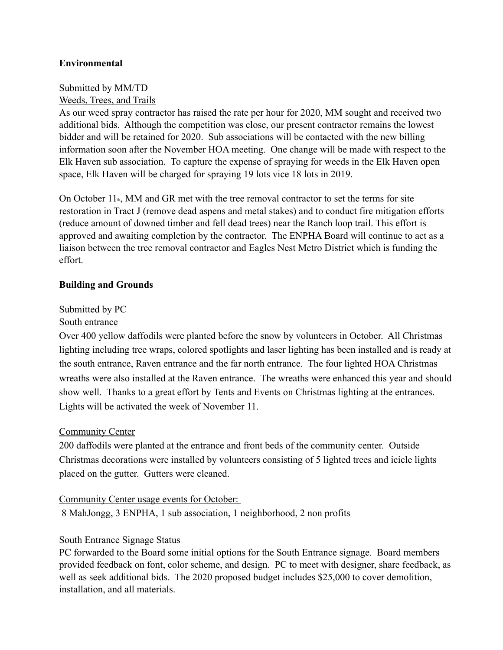## **Environmental**

#### Submitted by MM/TD Weeds, Trees, and Trails

As our weed spray contractor has raised the rate per hour for 2020, MM sought and received two additional bids. Although the competition was close, our present contractor remains the lowest bidder and will be retained for 2020. Sub associations will be contacted with the new billing information soon after the November HOA meeting. One change will be made with respect to the Elk Haven sub association. To capture the expense of spraying for weeds in the Elk Haven open space, Elk Haven will be charged for spraying 19 lots vice 18 lots in 2019.

On October  $11<sup>th</sup>$ , MM and GR met with the tree removal contractor to set the terms for site restoration in Tract J (remove dead aspens and metal stakes) and to conduct fire mitigation efforts (reduce amount of downed timber and fell dead trees) near the Ranch loop trail. This effort is approved and awaiting completion by the contractor. The ENPHA Board will continue to act as a liaison between the tree removal contractor and Eagles Nest Metro District which is funding the effort.

#### **Building and Grounds**

# Submitted by PC

## South entrance

Over 400 yellow daffodils were planted before the snow by volunteers in October. All Christmas lighting including tree wraps, colored spotlights and laser lighting has been installed and is ready at the south entrance, Raven entrance and the far north entrance. The four lighted HOA Christmas wreaths were also installed at the Raven entrance. The wreaths were enhanced this year and should show well. Thanks to a great effort by Tents and Events on Christmas lighting at the entrances. Lights will be activated the week of November 11.

#### **Community Center**

200 daffodils were planted at the entrance and front beds of the community center. Outside Christmas decorations were installed by volunteers consisting of 5 lighted trees and icicle lights placed on the gutter. Gutters were cleaned.

#### Community Center usage events for October:

8 MahJongg, 3 ENPHA, 1 sub association, 1 neighborhood, 2 non profits

#### South Entrance Signage Status

PC forwarded to the Board some initial options for the South Entrance signage. Board members provided feedback on font, color scheme, and design. PC to meet with designer, share feedback, as well as seek additional bids. The 2020 proposed budget includes \$25,000 to cover demolition, installation, and all materials.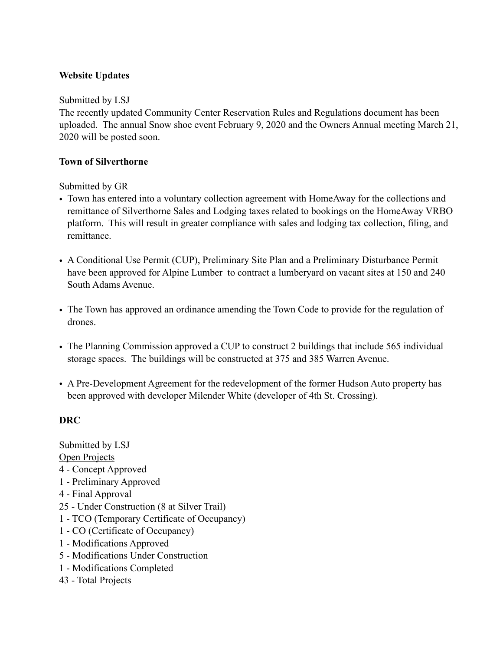# **Website Updates**

#### Submitted by LSJ

The recently updated Community Center Reservation Rules and Regulations document has been uploaded. The annual Snow shoe event February 9, 2020 and the Owners Annual meeting March 21, 2020 will be posted soon.

#### **Town of Silverthorne**

Submitted by GR

- Town has entered into a voluntary collection agreement with HomeAway for the collections and remittance of Silverthorne Sales and Lodging taxes related to bookings on the HomeAway VRBO platform. This will result in greater compliance with sales and lodging tax collection, filing, and remittance.
- A Conditional Use Permit (CUP), Preliminary Site Plan and a Preliminary Disturbance Permit have been approved for Alpine Lumber to contract a lumberyard on vacant sites at 150 and 240 South Adams Avenue.
- The Town has approved an ordinance amending the Town Code to provide for the regulation of drones.
- The Planning Commission approved a CUP to construct 2 buildings that include 565 individual storage spaces. The buildings will be constructed at 375 and 385 Warren Avenue.
- A Pre-Development Agreement for the redevelopment of the former Hudson Auto property has been approved with developer Milender White (developer of 4th St. Crossing).

#### **DRC**

Submitted by LSJ Open Projects 4 - Concept Approved 1 - Preliminary Approved 4 - Final Approval 25 - Under Construction (8 at Silver Trail) 1 - TCO (Temporary Certificate of Occupancy) 1 - CO (Certificate of Occupancy) 1 - Modifications Approved 5 - Modifications Under Construction 1 - Modifications Completed 43 - Total Projects